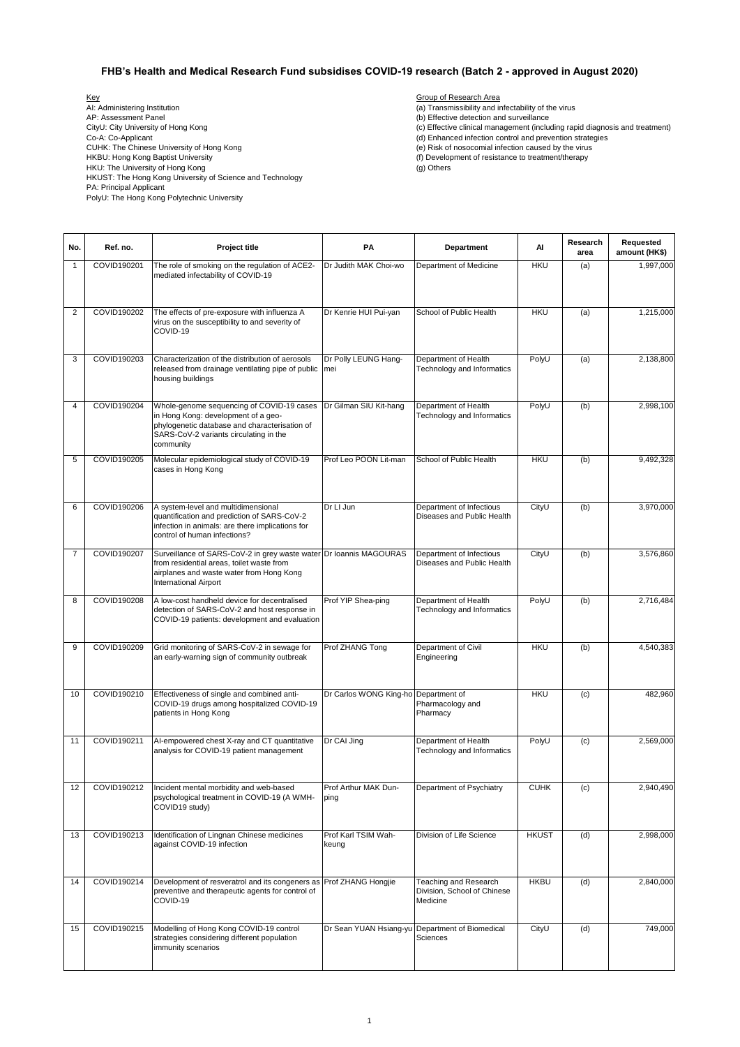Example of Research Area<br>
Al: Administering Institution<br>
Al: Administering Institution AI: Administering Institution (a) Transmissibility and infectability of the virus (a) Transmissibility and infectability of the virus AP: Assessment Panel AP: Assessment Panel (b) Effective detection and surveillance<br>CityU: City University of Hong Kong (c) Effective detection and surveillance (c) Effective detection and surveillance CityU: City University of Hong Kong (c) Effective clinical management (including rapid diagnosis and treatment)<br>Co-A: Co-Applicant control and prevention strategies Co-A: Co-Applicant Co-A: Co-Applicant Co-A: Co-Applicant Co-A: Co-Applicant Co-A: Co-Applicant CO-A: Co-Applicant CUHK: The Chinese University of Hong Kong CUHK: The Chinese University of Hong Kong CUHK: The Chinese Univer CUHK: The Chinese University of Hong Kong (e) Risk of nosocomial infection caused by the virus<br>HKBU: Hong Kong Baptist University (f) Development of resistance to treatment/therapy HKU: The University of Hong Kong HKUST: The Hong Kong University of Science and Technology PA: Principal Applicant PolyU: The Hong Kong Polytechnic University

 $H(t)$  Development of resistance to treatment/therapy (g) Others

| No.            | Ref. no.    | <b>Project title</b>                                                                                                                                                                        | PA                                   | <b>Department</b>                                                       | AI           | Research<br>area | <b>Requested</b><br>amount (HK\$) |
|----------------|-------------|---------------------------------------------------------------------------------------------------------------------------------------------------------------------------------------------|--------------------------------------|-------------------------------------------------------------------------|--------------|------------------|-----------------------------------|
| $\mathbf{1}$   | COVID190201 | The role of smoking on the regulation of ACE2-<br>mediated infectability of COVID-19                                                                                                        | Dr Judith MAK Choi-wo                | Department of Medicine                                                  | <b>HKU</b>   | (a)              | 1,997,000                         |
| 2              | COVID190202 | The effects of pre-exposure with influenza A<br>virus on the susceptibility to and severity of<br>COVID-19                                                                                  | Dr Kenrie HUI Pui-yan                | School of Public Health                                                 | <b>HKU</b>   | (a)              | 1,215,000                         |
| 3              | COVID190203 | Characterization of the distribution of aerosols<br>released from drainage ventilating pipe of public<br>housing buildings                                                                  | Dr Polly LEUNG Hang-<br>mei          | Department of Health<br>Technology and Informatics                      | PolyU        | (a)              | 2,138,800                         |
| 4              | COVID190204 | Whole-genome sequencing of COVID-19 cases<br>in Hong Kong: development of a geo-<br>phylogenetic database and characterisation of<br>SARS-CoV-2 variants circulating in the<br>community    | Dr Gilman SIU Kit-hang               | Department of Health<br>Technology and Informatics                      | PolyU        | (b)              | 2,998,100                         |
| 5              | COVID190205 | Molecular epidemiological study of COVID-19<br>cases in Hong Kong                                                                                                                           | Prof Leo POON Lit-man                | School of Public Health                                                 | <b>HKU</b>   | (b)              | 9,492,328                         |
| 6              | COVID190206 | A system-level and multidimensional<br>quantification and prediction of SARS-CoV-2<br>infection in animals: are there implications for<br>control of human infections?                      | Dr Ll Jun                            | Department of Infectious<br>Diseases and Public Health                  | CityU        | (b)              | 3,970,000                         |
| $\overline{7}$ | COVID190207 | Surveillance of SARS-CoV-2 in grey waste water Dr Ioannis MAGOURAS<br>from residential areas, toilet waste from<br>airplanes and waste water from Hong Kong<br><b>International Airport</b> |                                      | Department of Infectious<br>Diseases and Public Health                  | CityU        | (b)              | 3,576,860                         |
| 8              | COVID190208 | A low-cost handheld device for decentralised<br>detection of SARS-CoV-2 and host response in<br>COVID-19 patients: development and evaluation                                               | Prof YIP Shea-ping                   | Department of Health<br>Technology and Informatics                      | PolyU        | (b)              | 2,716,484                         |
| 9              | COVID190209 | Grid monitoring of SARS-CoV-2 in sewage for<br>an early-warning sign of community outbreak                                                                                                  | Prof ZHANG Tong                      | Department of Civil<br>Engineering                                      | <b>HKU</b>   | (b)              | 4,540,383                         |
| 10             | COVID190210 | Effectiveness of single and combined anti-<br>COVID-19 drugs among hospitalized COVID-19<br>patients in Hong Kong                                                                           | Dr Carlos WONG King-ho Department of | Pharmacology and<br>Pharmacy                                            | <b>HKU</b>   | (c)              | 482,960                           |
| 11             | COVID190211 | AI-empowered chest X-ray and CT quantitative<br>analysis for COVID-19 patient management                                                                                                    | Dr CAI Jing                          | Department of Health<br>Technology and Informatics                      | PolyU        | (c)              | 2,569,000                         |
| 12             | COVID190212 | Incident mental morbidity and web-based<br>psychological treatment in COVID-19 (A WMH-<br>COVID19 study)                                                                                    | Prof Arthur MAK Dun-<br>ping         | Department of Psychiatry                                                | <b>CUHK</b>  | (c)              | 2,940,490                         |
| 13             | COVID190213 | Identification of Lingnan Chinese medicines<br>against COVID-19 infection                                                                                                                   | Prof Karl TSIM Wah-<br>keung         | Division of Life Science                                                | <b>HKUST</b> | (d)              | 2,998,000                         |
| 14             | COVID190214 | Development of resveratrol and its congeners as Prof ZHANG Hongjie<br>preventive and therapeutic agents for control of<br>COVID-19                                                          |                                      | <b>Teaching and Research</b><br>Division, School of Chinese<br>Medicine | <b>HKBU</b>  | (d)              | 2,840,000                         |
| 15             | COVID190215 | Modelling of Hong Kong COVID-19 control<br>strategies considering different population<br>immunity scenarios                                                                                |                                      | Dr Sean YUAN Hsiang-yu Department of Biomedical<br><b>Sciences</b>      | CityU        | (d)              | 749,000                           |

## **FHB's Health and Medical Research Fund subsidises COVID-19 research (Batch 2 - approved in August 2020)**

1